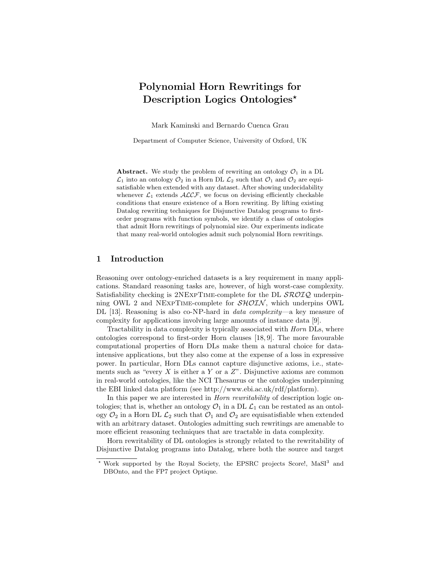# Polynomial Horn Rewritings for Description Logics Ontologies\*

Mark Kaminski and Bernardo Cuenca Grau

Department of Computer Science, University of Oxford, UK

**Abstract.** We study the problem of rewriting an ontology  $\mathcal{O}_1$  in a DL  $\mathcal{L}_1$  into an ontology  $\mathcal{O}_2$  in a Horn DL  $\mathcal{L}_2$  such that  $\mathcal{O}_1$  and  $\mathcal{O}_2$  are equisatisfiable when extended with any dataset. After showing undecidability whenever  $\mathcal{L}_1$  extends  $\mathcal{ALCF}$ , we focus on devising efficiently checkable conditions that ensure existence of a Horn rewriting. By lifting existing Datalog rewriting techniques for Disjunctive Datalog programs to firstorder programs with function symbols, we identify a class of ontologies that admit Horn rewritings of polynomial size. Our experiments indicate that many real-world ontologies admit such polynomial Horn rewritings.

## 1 Introduction

Reasoning over ontology-enriched datasets is a key requirement in many applications. Standard reasoning tasks are, however, of high worst-case complexity. Satisfiability checking is  $2NEXPTIME-complete$  for the DL  $SROIQ$  underpinning OWL 2 and NEXPTIME-complete for  $\mathcal{SHOLN}$ , which underpins OWL DL [13]. Reasoning is also co-NP-hard in *data complexity*—a key measure of complexity for applications involving large amounts of instance data [9].

Tractability in data complexity is typically associated with Horn DLs, where ontologies correspond to first-order Horn clauses [18, 9]. The more favourable computational properties of Horn DLs make them a natural choice for dataintensive applications, but they also come at the expense of a loss in expressive power. In particular, Horn DLs cannot capture disjunctive axioms, i.e., statements such as "every  $X$  is either a  $Y$  or a  $Z$ ". Disjunctive axioms are common in real-world ontologies, like the NCI Thesaurus or the ontologies underpinning the EBI linked data platform (see http://www.ebi.ac.uk/rdf/platform).

In this paper we are interested in *Horn rewritability* of description logic ontologies; that is, whether an ontology  $\mathcal{O}_1$  in a DL  $\mathcal{L}_1$  can be restated as an ontology  $\mathcal{O}_2$  in a Horn DL  $\mathcal{L}_2$  such that  $\mathcal{O}_1$  and  $\mathcal{O}_2$  are equisatisfiable when extended with an arbitrary dataset. Ontologies admitting such rewritings are amenable to more efficient reasoning techniques that are tractable in data complexity.

Horn rewritability of DL ontologies is strongly related to the rewritability of Disjunctive Datalog programs into Datalog, where both the source and target

<sup>\*</sup> Work supported by the Royal Society, the EPSRC projects Score!, MaSI<sup>3</sup> and DBOnto, and the FP7 project Optique.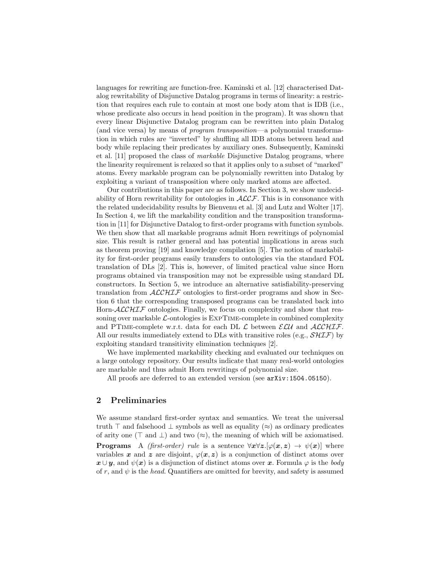languages for rewriting are function-free. Kaminski et al. [12] characterised Datalog rewritability of Disjunctive Datalog programs in terms of linearity: a restriction that requires each rule to contain at most one body atom that is IDB (i.e., whose predicate also occurs in head position in the program). It was shown that every linear Disjunctive Datalog program can be rewritten into plain Datalog (and vice versa) by means of program transposition—a polynomial transformation in which rules are "inverted" by shuffling all IDB atoms between head and body while replacing their predicates by auxiliary ones. Subsequently, Kaminski et al. [11] proposed the class of markable Disjunctive Datalog programs, where the linearity requirement is relaxed so that it applies only to a subset of "marked" atoms. Every markable program can be polynomially rewritten into Datalog by exploiting a variant of transposition where only marked atoms are affected.

Our contributions in this paper are as follows. In Section 3, we show undecidability of Horn rewritability for ontologies in  $\text{ALCF}$ . This is in consonance with the related undecidability results by Bienvenu et al. [3] and Lutz and Wolter [17]. In Section 4, we lift the markability condition and the transposition transformation in [11] for Disjunctive Datalog to first-order programs with function symbols. We then show that all markable programs admit Horn rewritings of polynomial size. This result is rather general and has potential implications in areas such as theorem proving [19] and knowledge compilation [5]. The notion of markability for first-order programs easily transfers to ontologies via the standard FOL translation of DLs [2]. This is, however, of limited practical value since Horn programs obtained via transposition may not be expressible using standard DL constructors. In Section 5, we introduce an alternative satisfiability-preserving translation from  $\text{ALCHIF}$  ontologies to first-order programs and show in Section 6 that the corresponding transposed programs can be translated back into Horn-ALCHIF ontologies. Finally, we focus on complexity and show that reasoning over markable  $\mathcal{L}$ -ontologies is  $\text{EXPTIME-complete}$  in combined complexity and PTIME-complete w.r.t. data for each DL  $\mathcal L$  between  $\mathcal{ELU}$  and  $\mathcal{ALCHIF}$ . All our results immediately extend to DLs with transitive roles (e.g.,  $\mathcal{SHT}$ ) by exploiting standard transitivity elimination techniques [2].

We have implemented markability checking and evaluated our techniques on a large ontology repository. Our results indicate that many real-world ontologies are markable and thus admit Horn rewritings of polynomial size.

All proofs are deferred to an extended version (see arXiv:1504.05150).

# 2 Preliminaries

We assume standard first-order syntax and semantics. We treat the universal truth  $\top$  and falsehood  $\bot$  symbols as well as equality ( $\approx$ ) as ordinary predicates of arity one ( $\top$  and  $\bot$ ) and two ( $\approx$ ), the meaning of which will be axiomatised. **Programs** A *(first-order) rule* is a sentence  $\forall x \forall z. [\varphi(x, z) \rightarrow \psi(x)]$  where variables x and z are disjoint,  $\varphi(x, z)$  is a conjunction of distinct atoms over  $x \cup y$ , and  $\psi(x)$  is a disjunction of distinct atoms over x. Formula  $\varphi$  is the body of r, and  $\psi$  is the head. Quantifiers are omitted for brevity, and safety is assumed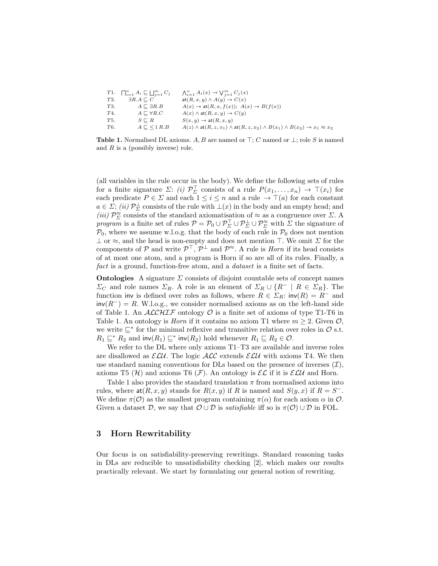|     | $T1. \quad \prod_{i=1}^n A_i \sqsubseteq \bigsqcup_{i=1}^m C_j$ | $\bigwedge_{i=1}^n A_i(x) \to \bigvee_{i=1}^m C_j(x)$                                                          |
|-----|-----------------------------------------------------------------|----------------------------------------------------------------------------------------------------------------|
| T2. | $\exists R.A \sqsubset C$                                       | $\text{at}(R, x, y) \wedge A(y) \rightarrow C(x)$                                                              |
| T3. | $A \sqsubset \exists R.B$                                       | $A(x) \rightarrow \text{at}(R, x, f(x))$ ; $A(x) \rightarrow B(f(x))$                                          |
| T4. | $A \sqsubset \forall R.C$                                       | $A(x) \wedge$ at $(R, x, y) \rightarrow C(y)$                                                                  |
| T5. | $S \sqsubset R$                                                 | $S(x, y) \rightarrow \text{at}(R, x, y)$                                                                       |
| T6. | $A \sqsubset \langle 1 \, R.B \rangle$                          | $A(z) \wedge$ at $(R, z, x_1) \wedge$ at $(R, z, x_2) \wedge B(x_1) \wedge B(x_2) \rightarrow x_1 \approx x_2$ |
|     |                                                                 |                                                                                                                |

**Table 1.** Normalised DL axioms. A, B are named or  $\top$ ; C named or  $\bot$ ; role S is named and  $R$  is a (possibly inverse) role.

(all variables in the rule occur in the body). We define the following sets of rules for a finite signature  $\Sigma: (i) \mathcal{P}_{\Sigma}^{\top}$  consists of a rule  $P(x_1, \ldots, x_n) \to \top(x_i)$  for each predicate  $P \in \Sigma$  and each  $1 \leq i \leq n$  and a rule  $\rightarrow \top(a)$  for each constant  $a \in \Sigma$ ; (ii)  $\mathcal{P}_{\Sigma}^{\perp}$  consists of the rule with  $\perp(x)$  in the body and an empty head; and (iii)  $\mathcal{P}_{\Sigma}^{\approx}$  consists of the standard axiomatisation of  $\approx$  as a congruence over  $\Sigma$ . A program is a finite set of rules  $P = P_0 \cup P_{\Sigma}^{\top} \cup P_{\Sigma}^{\perp} \cup P_{\Sigma}^{\approx}$  with  $\Sigma$  the signature of  $P_0$ , where we assume w.l.o.g. that the body of each rule in  $P_0$  does not mention  $\perp$  or  $\approx$ , and the head is non-empty and does not mention  $\perp$ . We omit  $\Sigma$  for the components of  $P$  and write  $P^{\top}, P^{\perp}$  and  $P^{\approx}$ . A rule is *Horn* if its head consists of at most one atom, and a program is Horn if so are all of its rules. Finally, a fact is a ground, function-free atom, and a *dataset* is a finite set of facts.

**Ontologies** A signature  $\Sigma$  consists of disjoint countable sets of concept names  $\Sigma_C$  and role names  $\Sigma_R$ . A role is an element of  $\Sigma_R \cup \{R^- \mid R \in \Sigma_R\}$ . The function inv is defined over roles as follows, where  $R \in \Sigma_R$ : inv $(R) = R^-$  and  $inv(R^{-}) = R$ . W.l.o.g., we consider normalised axioms as on the left-hand side of Table 1. An  $ALCHIF$  ontology  $\mathcal O$  is a finite set of axioms of type T1-T6 in Table 1. An ontology is *Horn* if it contains no axiom T1 where  $m \geq 2$ . Given  $\mathcal{O}$ , we write  $\subseteq^*$  for the minimal reflexive and transitive relation over roles in  $\mathcal O$  s.t.  $R_1 \sqsubseteq^* R_2$  and  $\text{inv}(R_1) \sqsubseteq^* \text{inv}(R_2)$  hold whenever  $R_1 \sqsubseteq R_2 \in \mathcal{O}$ .

We refer to the DL where only axioms  $T1-T3$  are available and inverse roles are disallowed as  $\mathcal{ELU}$ . The logic  $\mathcal{ALC}$  extends  $\mathcal{ELU}$  with axioms T4. We then use standard naming conventions for DLs based on the presence of inverses  $(\mathcal{I}),$ axioms T5 (H) and axioms T6 (F). An ontology is  $\mathcal{EL}$  if it is  $\mathcal{ELU}$  and Horn.

Table 1 also provides the standard translation  $\pi$  from normalised axioms into rules, where  $\text{at}(R, x, y)$  stands for  $R(x, y)$  if R is named and  $S(y, x)$  if  $R = S^{-}$ . We define  $\pi(\mathcal{O})$  as the smallest program containing  $\pi(\alpha)$  for each axiom  $\alpha$  in  $\mathcal{O}$ . Given a dataset D, we say that  $\mathcal{O} \cup \mathcal{D}$  is *satisfiable* iff so is  $\pi(\mathcal{O}) \cup \mathcal{D}$  in FOL.

#### 3 Horn Rewritability

Our focus is on satisfiability-preserving rewritings. Standard reasoning tasks in DLs are reducible to unsatisfiability checking [2], which makes our results practically relevant. We start by formulating our general notion of rewriting.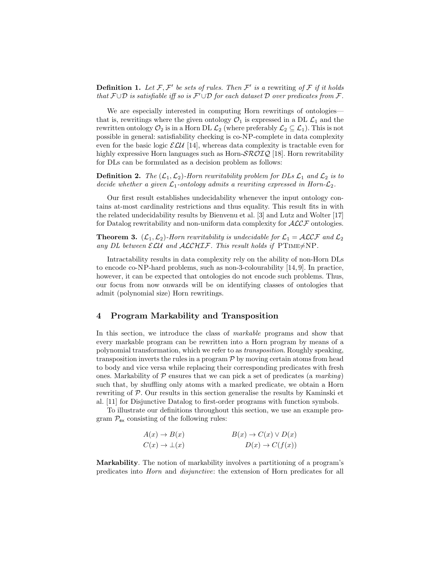**Definition 1.** Let  $\mathcal{F}, \mathcal{F}'$  be sets of rules. Then  $\mathcal{F}'$  is a rewriting of  $\mathcal{F}$  if it holds that  $\mathcal{F} \cup \mathcal{D}$  is satisfiable iff so is  $\mathcal{F}' \cup \mathcal{D}$  for each dataset  $\mathcal D$  over predicates from  $\mathcal{F}$ .

We are especially interested in computing Horn rewritings of ontologies that is, rewritings where the given ontology  $\mathcal{O}_1$  is expressed in a DL  $\mathcal{L}_1$  and the rewritten ontology  $\mathcal{O}_2$  is in a Horn DL  $\mathcal{L}_2$  (where preferably  $\mathcal{L}_2 \subseteq \mathcal{L}_1$ ). This is not possible in general: satisfiability checking is co-NP-complete in data complexity even for the basic logic  $\mathcal{ELU}$  [14], whereas data complexity is tractable even for highly expressive Horn languages such as Horn- $\mathcal{SROIQ}$  [18]. Horn rewritability for DLs can be formulated as a decision problem as follows:

**Definition 2.** The  $(\mathcal{L}_1, \mathcal{L}_2)$ -Horn rewritability problem for DLs  $\mathcal{L}_1$  and  $\mathcal{L}_2$  is to decide whether a given  $\mathcal{L}_1$ -ontology admits a rewriting expressed in Horn- $\mathcal{L}_2$ .

Our first result establishes undecidability whenever the input ontology contains at-most cardinality restrictions and thus equality. This result fits in with the related undecidability results by Bienvenu et al. [3] and Lutz and Wolter [17] for Datalog rewritability and non-uniform data complexity for  $\mathcal{ALCF}$  ontologies.

**Theorem 3.**  $(\mathcal{L}_1, \mathcal{L}_2)$ -Horn rewritability is undecidable for  $\mathcal{L}_1 = \mathcal{ALCF}$  and  $\mathcal{L}_2$ any DL between  $\mathcal{ELU}$  and  $\mathcal{ALCHIF}$ . This result holds if PTIME $\neq$ NP.

Intractability results in data complexity rely on the ability of non-Horn DLs to encode co-NP-hard problems, such as non-3-colourability [14, 9]. In practice, however, it can be expected that ontologies do not encode such problems. Thus, our focus from now onwards will be on identifying classes of ontologies that admit (polynomial size) Horn rewritings.

## 4 Program Markability and Transposition

In this section, we introduce the class of markable programs and show that every markable program can be rewritten into a Horn program by means of a polynomial transformation, which we refer to as transposition. Roughly speaking, transposition inverts the rules in a program  $P$  by moving certain atoms from head to body and vice versa while replacing their corresponding predicates with fresh ones. Markability of  $P$  ensures that we can pick a set of predicates (a marking) such that, by shuffling only atoms with a marked predicate, we obtain a Horn rewriting of P. Our results in this section generalise the results by Kaminski et al. [11] for Disjunctive Datalog to first-order programs with function symbols.

To illustrate our definitions throughout this section, we use an example program  $\mathcal{P}_{\mathsf{ex}}$  consisting of the following rules:

| $A(x) \rightarrow B(x)$     | $B(x) \to C(x) \vee D(x)$  |
|-----------------------------|----------------------------|
| $C(x) \rightarrow \perp(x)$ | $D(x) \rightarrow C(f(x))$ |

Markability. The notion of markability involves a partitioning of a program's predicates into Horn and disjunctive: the extension of Horn predicates for all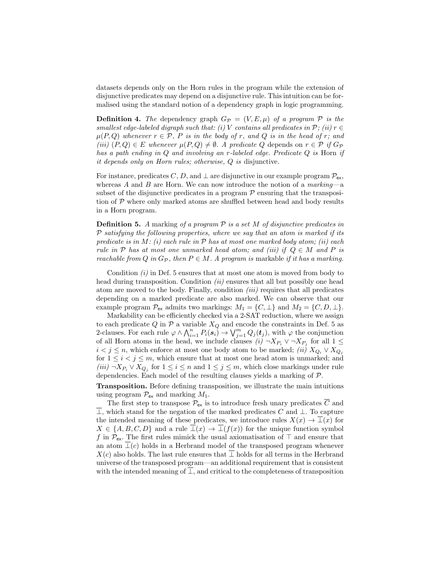datasets depends only on the Horn rules in the program while the extension of disjunctive predicates may depend on a disjunctive rule. This intuition can be formalised using the standard notion of a dependency graph in logic programming.

**Definition 4.** The dependency graph  $G_p = (V, E, \mu)$  of a program P is the smallest edge-labeled digraph such that: (i) V contains all predicates in  $\mathcal{P}$ ; (ii)  $r \in$  $\mu(P,Q)$  whenever  $r \in \mathcal{P}$ , P is in the body of r, and Q is in the head of r; and (iii)  $(P,Q) \in E$  whenever  $\mu(P,Q) \neq \emptyset$ . A predicate Q depends on  $r \in \mathcal{P}$  if  $G_{\mathcal{P}}$ has a path ending in Q and involving an r-labeled edge. Predicate Q is Horn if it depends only on Horn rules; otherwise, Q is disjunctive.

For instance, predicates C, D, and  $\perp$  are disjunctive in our example program  $\mathcal{P}_{ex}$ , whereas A and B are Horn. We can now introduce the notion of a  $marking$ —a subset of the disjunctive predicates in a program  $P$  ensuring that the transposition of  $\mathcal P$  where only marked atoms are shuffled between head and body results in a Horn program.

**Definition 5.** A marking of a program  $P$  is a set M of disjunctive predicates in  $P$  satisfying the following properties, where we say that an atom is marked if its predicate is in M: (i) each rule in  $\mathcal P$  has at most one marked body atom; (ii) each rule in P has at most one unmarked head atom; and (iii) if  $Q \in M$  and P is reachable from Q in  $G_{\mathcal{P}}$ , then  $P \in M$ . A program is markable if it has a marking.

Condition  $(i)$  in Def. 5 ensures that at most one atom is moved from body to head during transposition. Condition  $(ii)$  ensures that all but possibly one head atom are moved to the body. Finally, condition (iii) requires that all predicates depending on a marked predicate are also marked. We can observe that our example program  $\mathcal{P}_{ex}$  admits two markings:  $M_1 = \{C, \perp\}$  and  $M_2 = \{C, D, \perp\}.$ 

Markability can be efficiently checked via a 2-SAT reduction, where we assign to each predicate  $Q$  in  $P$  a variable  $X_Q$  and encode the constraints in Def. 5 as 2-clauses. For each rule  $\varphi \wedge \bigwedge_{i=1}^n P_i(s_i) \to \bigvee_{j=1}^m Q_j(t_j)$ , with  $\varphi$  the conjunction of all Horn atoms in the head, we include clauses  $(i) \neg X_{P_i} \vee \neg X_{P_j}$  for all  $1 \leq$  $i < j \leq n$ , which enforce at most one body atom to be marked; *(ii)*  $X_{Q_i} \vee X_{Q_j}$ for  $1 \leq i < j \leq m$ , which ensure that at most one head atom is unmarked; and  $(iii) \neg X_{P_i} \lor X_{Q_j}$  for  $1 \leq i \leq n$  and  $1 \leq j \leq m$ , which close markings under rule dependencies. Each model of the resulting clauses yields a marking of P.

Transposition. Before defining transposition, we illustrate the main intuitions using program  $\mathcal{P}_{ex}$  and marking  $M_1$ .

The first step to transpose  $\mathcal{P}_{ex}$  is to introduce fresh unary predicates  $\overline{C}$  and  $\overline{\perp}$ , which stand for the negation of the marked predicates C and  $\perp$ . To capture the intended meaning of these predicates, we introduce rules  $X(x) \to \overline{\perp}(x)$  for  $X \in \{A, B, C, D\}$  and a rule  $\overline{\perp}(x) \to \overline{\perp}(f(x))$  for the unique function symbol f in  $\mathcal{P}_{ex}$ . The first rules mimick the usual axiomatisation of  $\top$  and ensure that an atom  $\overline{\perp}(c)$  holds in a Herbrand model of the transposed program whenever  $X(c)$  also holds. The last rule ensures that  $\perp$  holds for all terms in the Herbrand universe of the transposed program—an additional requirement that is consistent with the intended meaning of  $\overline{\perp}$ , and critical to the completeness of transposition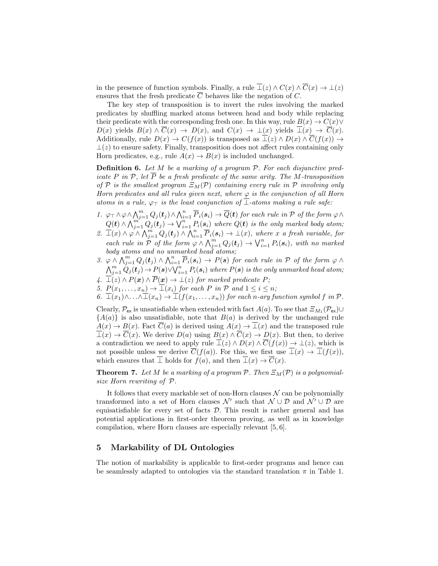in the presence of function symbols. Finally, a rule  $\overline{\perp}(z) \wedge C(x) \wedge \overline{C}(x) \rightarrow \perp(z)$ ensures that the fresh predicate C behaves like the negation of C.

The key step of transposition is to invert the rules involving the marked predicates by shuffling marked atoms between head and body while replacing their predicate with the corresponding fresh one. In this way, rule  $B(x) \to C(x) \vee$  $D(x)$  yields  $B(x) \wedge \overline{C}(x) \rightarrow D(x)$ , and  $C(x) \rightarrow \bot(x)$  yields  $\overline{\bot}(x) \rightarrow \overline{C}(x)$ . Additionally, rule  $D(x) \to C(f(x))$  is transposed as  $\overline{\perp}(z) \wedge D(x) \wedge \overline{C}(f(x)) \to$  $\perp(z)$  to ensure safety. Finally, transposition does not affect rules containing only Horn predicates, e.g., rule  $A(x) \to B(x)$  is included unchanged.

**Definition 6.** Let  $M$  be a marking of a program  $P$ . For each disjunctive predicate P in P, let  $\overline{P}$  be a fresh predicate of the same arity. The M-transposition of P is the smallest program  $\Xi_M(\mathcal{P})$  containing every rule in P involving only Horn predicates and all rules given next, where  $\varphi$  is the conjunction of all Horn atoms in a rule,  $\varphi_{\top}$  is the least conjunction of  $\bot$ -atoms making a rule safe:

- 1.  $\varphi \top \wedge \varphi \wedge \bigwedge_{j=1}^{m} Q_j(t_j) \wedge \bigwedge_{i=1}^{n} \overline{P}_i(s_i) \rightarrow \overline{Q}(t)$  for each rule in  $P$  of the form  $\varphi \wedge$  $Q(\boldsymbol{t}) \wedge \bigwedge_{j=1}^{m^*} Q_j(\boldsymbol{t}_j) \rightarrow \bigvee_{i=1}^{n} P_i(\boldsymbol{s}_i)$  where  $Q(\boldsymbol{t})$  is the only marked body atom;
- 2.  $\overline{\bot}(x) \wedge \varphi \wedge \overline{\bigwedge_{j=1}^{m} Q_j(t_j)} \wedge \overline{\bigwedge_{i=1}^{n} P_i(s_i)} \rightarrow \bot(x)$ , where x a fresh variable, for each rule in  $\mathcal P$  of the form  $\varphi \wedge \bigwedge_{j=1}^m Q_j(t_j) \rightarrow \bigvee_{i=1}^n P_i(s_i)$ , with no marked body atoms and no unmarked head atoms;
- 3.  $\varphi \wedge \bigwedge_{j=1}^{m} Q_j(t_j) \wedge \bigwedge_{i=1}^{n} \overline{P}_i(s_i) \rightarrow P(s)$  for each rule in  $P$  of the form  $\varphi \wedge$  $\bigwedge_{j=1}^m \dot Q_j(\bm t_j) \,{\to}\, P(\bm s) \vee \bigvee_{i=1}^n P_i(\bm s_i)$  where  $P(\bm s)$  is the only unmarked head atom;
- 4.  $\overline{\perp}(z) \wedge P(x) \wedge \overline{P}(x) \rightarrow \perp(z)$  for marked predicate P;
- 5.  $P(x_1, \ldots, x_n) \rightarrow \square(x_i)$  for each P in P and  $1 \leq i \leq n$ ;
- 6.  $\overline{\bot}(x_1)\wedge\ldots\wedge\overline{\bot}(x_n)\rightarrow\overline{\bot}(f(x_1,\ldots,x_n))$  for each n-ary function symbol f in  $\mathcal{P}$ .

Clearly,  $\mathcal{P}_{ex}$  is unsatisfiable when extended with fact  $A(a)$ . To see that  $\mathcal{Z}_{M_1}(\mathcal{P}_{ex})\cup$  ${A(a)}$  is also unsatisfiable, note that  $B(a)$  is derived by the unchanged rule  $A(x) \to B(x)$ . Fact  $\overline{C}(a)$  is derived using  $A(x) \to \overline{\perp}(x)$  and the transposed rule  $\overline{\perp}(x) \to \overline{C}(x)$ . We derive  $D(a)$  using  $B(x) \wedge \overline{C}(x) \to D(x)$ . But then, to derive a contradiction we need to apply rule  $\overline{\perp}(z) \wedge D(x) \wedge \overline{C}(f(x)) \to \perp(z)$ , which is not possible unless we derive  $\overline{C}(f(a))$ . For this, we first use  $\overline{\perp}(x) \to \overline{\perp}(f(x))$ , which ensures that  $\bot$  holds for  $f(a)$ , and then  $\bot(x) \to C(x)$ .

**Theorem 7.** Let M be a marking of a program P. Then  $\Xi_M(\mathcal{P})$  is a polynomialsize Horn rewriting of P.

It follows that every markable set of non-Horn clauses  $N$  can be polynomially transformed into a set of Horn clauses  $\mathcal{N}'$  such that  $\mathcal{N} \cup \mathcal{D}$  and  $\mathcal{N}' \cup \mathcal{D}$  are equisatisfiable for every set of facts  $D$ . This result is rather general and has potential applications in first-order theorem proving, as well as in knowledge compilation, where Horn clauses are especially relevant [5, 6].

# 5 Markability of DL Ontologies

The notion of markability is applicable to first-order programs and hence can be seamlessly adapted to ontologies via the standard translation  $\pi$  in Table 1.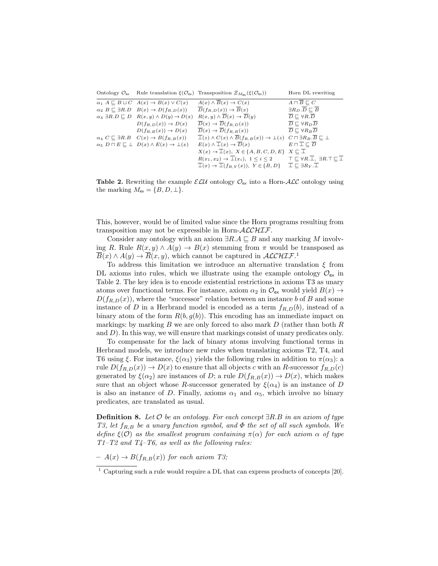|                                                                                 | Ontology $\mathcal{O}_{\text{ex}}$ Rule translation $\xi(\mathcal{O}_{\text{ex}})$ Transposition $\Xi_{M_{\text{ev}}}(\xi(\mathcal{O}_{\text{ex}}))$                | Horn DL rewriting                                 |
|---------------------------------------------------------------------------------|---------------------------------------------------------------------------------------------------------------------------------------------------------------------|---------------------------------------------------|
| $\alpha_1 A \sqsubseteq B \sqcup C \quad A(x) \rightarrow B(x) \vee C(x)$       | $A(x) \wedge \overline{B}(x) \rightarrow C(x)$                                                                                                                      | $A \sqcap \overline{B} \sqsubset C$               |
| $\alpha_2 B \sqsubseteq \exists R.D \quad B(x) \rightarrow D(f_{R,D}(x))$       | $\overline{D}(f_{R,D}(x)) \to \overline{B}(x)$                                                                                                                      | $\exists R_D.\overline{D}\sqsubset \overline{B}$  |
| $\alpha_3 \exists R.D \sqsubseteq D \quad R(x,y) \wedge D(y) \rightarrow D(x)$  | $R(x, y) \wedge \overline{D}(x) \rightarrow \overline{D}(y)$                                                                                                        | $\overline{D} \sqsubset \forall R.\overline{D}$   |
| $D(f_{R,D}(x)) \to D(x)$                                                        | $\overline{D}(x) \rightarrow \overline{D}(f_{R,D}(x))$                                                                                                              | $\overline{D} \sqsubset \forall R_D D$            |
| $D(f_{R,B}(x)) \to D(x)$                                                        | $\overline{D}(x) \rightarrow \overline{D}(f_{R,B}(x))$                                                                                                              | $\overline{D} \sqsubset \forall R_B \overline{D}$ |
| $\alpha_4 C \sqsubseteq \exists R.B \quad C(x) \rightarrow B(f_{R.B}(x))$       | $\overline{\perp}(z) \wedge C(x) \wedge \overline{B}(f_{R,B}(x)) \rightarrow \perp(z) \quad C \sqcap \exists R_B . \overline{B} \sqsubseteq \perp$                  |                                                   |
| $\alpha_5$ $D \sqcap E \sqsubseteq \bot$ $D(x) \wedge E(x) \rightarrow \bot(x)$ | $E(x) \wedge \overline{\perp}(x) \rightarrow \overline{D}(x)$                                                                                                       | $E \sqcap \sqsubseteq \sqsubseteq \overline{D}$   |
|                                                                                 | $X(x) \rightarrow \overline{\bot}(x), X \in \{A, B, C, D, E\} \ X \subseteq \overline{\bot}$                                                                        |                                                   |
|                                                                                 | $R(x_1, x_2) \rightarrow \overline{\perp}(x_i), \ 1 \leq i \leq 2$ $\top \sqsubseteq \forall R . \overline{\perp}, \ \exists R . \top \sqsubseteq \overline{\perp}$ |                                                   |
|                                                                                 | $\bot(x) \to \bot(f_{R,Y}(x)), Y \in \{B,D\} \quad \bot \sqsubseteq \exists R_Y \cdot \overline{\bot}$                                                              |                                                   |

**Table 2.** Rewriting the example  $\mathcal{ELU}$  ontology  $\mathcal{O}_{ex}$  into a Horn-ALC ontology using the marking  $M_{\text{ex}} = \{B, D, \perp\}.$ 

This, however, would be of limited value since the Horn programs resulting from transposition may not be expressible in Horn- $\mathcal{ALCHIF}$ .

Consider any ontology with an axiom  $\exists R.A \sqsubseteq B$  and any marking M involving R. Rule  $R(x, y) \wedge A(y) \rightarrow B(x)$  stemming from  $\pi$  would be transposed as  $\overline{B}(x) \wedge A(y) \to \overline{R}(x, y)$ , which cannot be captured in  $\mathcal{ALCHIF}$ <sup>1</sup>

To address this limitation we introduce an alternative translation  $\xi$  from DL axioms into rules, which we illustrate using the example ontology  $\mathcal{O}_{\mathsf{ex}}$  in Table 2. The key idea is to encode existential restrictions in axioms T3 as unary atoms over functional terms. For instance, axiom  $\alpha_2$  in  $\mathcal{O}_{\mathsf{ex}}$  would yield  $B(x) \to$  $D(f_{R,D}(x))$ , where the "successor" relation between an instance b of B and some instance of D in a Herbrand model is encoded as a term  $f_{R,D}(b)$ , instead of a binary atom of the form  $R(b, g(b))$ . This encoding has an immediate impact on markings: by marking B we are only forced to also mark  $D$  (rather than both  $R$ and  $D$ ). In this way, we will ensure that markings consist of unary predicates only.

To compensate for the lack of binary atoms involving functional terms in Herbrand models, we introduce new rules when translating axioms T2, T4, and T6 using  $\xi$ . For instance,  $\xi(\alpha_3)$  yields the following rules in addition to  $\pi(\alpha_3)$ : a rule  $D(f_{R,D}(x)) \to D(x)$  to ensure that all objects c with an R-successor  $f_{R,D}(c)$ generated by  $\xi(\alpha_2)$  are instances of D; a rule  $D(f_{R,B}(x)) \to D(x)$ , which makes sure that an object whose R-successor generated by  $\xi(\alpha_4)$  is an instance of D is also an instance of D. Finally, axioms  $\alpha_1$  and  $\alpha_5$ , which involve no binary predicates, are translated as usual.

**Definition 8.** Let  $\mathcal O$  be an ontology. For each concept  $\exists R.B$  in an axiom of type T3, let  $f_{R,B}$  be a unary function symbol, and  $\Phi$  the set of all such symbols. We define  $\xi(\mathcal{O})$  as the smallest program containing  $\pi(\alpha)$  for each axiom  $\alpha$  of type  $T1-T2$  and  $T4-T6$ , as well as the following rules:

 $- A(x) \rightarrow B(f_{R,B}(x))$  for each axiom T3;

 $1$  Capturing such a rule would require a DL that can express products of concepts [20].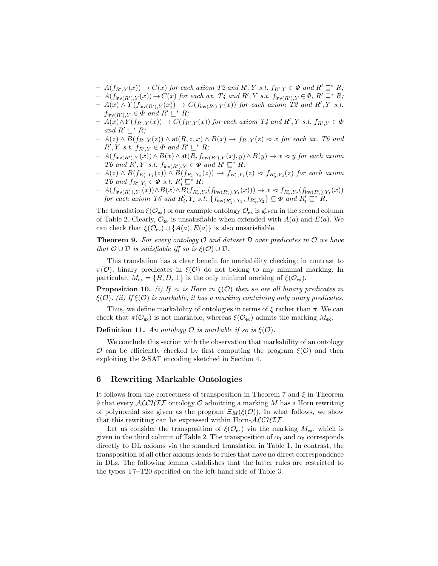- $A(f_{R',Y}(x)) \to C(x)$  for each axiom T2 and R', Y s.t.  $f_{R',Y} \in \Phi$  and  $R' \sqsubseteq^* R;$
- $A(f_{\mathsf{inv}(R'),Y}(x)) \to C(x)$  for each ax.  $T_4$  and  $R', Y$  s.t.  $f_{\mathsf{inv}(R'),Y} \in \Phi$ ,  $R' \sqsubseteq^* R;$
- $A(x) \wedge Y(f_{\mathsf{inv}(R'),Y}(x)) \rightarrow C(f_{\mathsf{inv}(R'),Y}(x))$  for each axiom  $T2$  and  $R', Y$  s.t.  $f_{\mathsf{inv}(R'),Y} \in \Phi$  and  $R' \sqsubseteq^* R;$
- $-$  A(x) $\wedge$ Y(f<sub>R',Y</sub>(x))  $\rightarrow$  C(f<sub>R',Y</sub>(x)) for each axiom T4 and R',Y s.t. f<sub>R',Y</sub>  $\in$   $\Phi$ and  $R' \sqsubseteq^* R$ ;
- $A(z) \wedge B(f_{R',Y}(z)) \wedge \mathsf{at}(R,z,x) \wedge B(x) \to f_{R',Y}(z) \approx x$  for each ax. T6 and  $R', Y \text{ s.t. } f_{R',Y} \in \Phi \text{ and } R' \sqsubseteq^* R;$
- $A(f_{\text{inv}(R'),Y}(x)) \wedge B(x) \wedge \text{at}(R, f_{\text{inv}(R'),Y}(x), y) \wedge B(y) \rightarrow x \approx y \text{ for each axiom }$ T6 and  $R', Y$  s.t.  $f_{inv(R'),Y} \in \Phi$  and  $R' \sqsubseteq^* R;$
- $A(z) \wedge B(f_{R'_1,Y_1}(z)) \wedge B(f_{R'_2,Y_2}(z)) \to f_{R'_1,Y_1}(z) \approx f_{R'_2,Y_2}(z)$  for each axiom T6 and  $f_{R'_i, Y_i} \in \Phi$  s.t.  $R'_i \sqsubseteq^* R$ ;
- $A(f_{\mathsf{inv}(R'_1), Y_1}(x)) \wedge B(x) \wedge B(f_{R'_2, Y_2}(f_{\mathsf{inv}(R'_1), Y_1}(x))) \rightarrow x ≈ f_{R'_2, Y_2}(f_{\mathsf{inv}(R'_1), Y_1}(x))$ for each axiom T6 and  $R'_i, Y_i$  s.t.  $\{f_{\mathsf{inv}(R'_1), Y_1}, f_{R'_2, Y_2}\} \subseteq \Phi$  and  $R'_i \subseteq^* R$ .

The translation  $\xi(\mathcal{O}_{\mathsf{ex}})$  of our example ontology  $\mathcal{O}_{\mathsf{ex}}$  is given in the second column of Table 2. Clearly,  $\mathcal{O}_{\mathsf{ex}}$  is unsatisfiable when extended with  $A(a)$  and  $E(a)$ . We can check that  $\xi(\mathcal{O}_{\mathsf{ex}}) \cup \{A(a), E(a)\}\$ is also unsatisfiable.

**Theorem 9.** For every ontology  $\mathcal{O}$  and dataset  $\mathcal{D}$  over predicates in  $\mathcal{O}$  we have that  $\mathcal{O} \cup \mathcal{D}$  is satisfiable iff so is  $\xi(\mathcal{O}) \cup \mathcal{D}$ .

This translation has a clear benefit for markability checking: in contrast to  $\pi(\mathcal{O})$ , binary predicates in  $\xi(\mathcal{O})$  do not belong to any minimal marking. In particular,  $M_{\text{ex}} = \{B, D, \perp\}$  is the only minimal marking of  $\xi(\mathcal{O}_{\text{ex}})$ .

**Proposition 10.** (i) If  $\approx$  is Horn in  $\xi(\mathcal{O})$  then so are all binary predicates in  $\xi(\mathcal{O})$ . (ii) If  $\xi(\mathcal{O})$  is markable, it has a marking containing only unary predicates.

Thus, we define markability of ontologies in terms of  $\xi$  rather than  $\pi$ . We can check that  $\pi(\mathcal{O}_{\mathsf{ex}})$  is not markable, whereas  $\xi(\mathcal{O}_{\mathsf{ex}})$  admits the marking  $M_{\mathsf{ex}}$ .

**Definition 11.** An ontology  $\mathcal O$  is markable if so is  $\xi(\mathcal O)$ .

We conclude this section with the observation that markability of an ontology  $\mathcal O$  can be efficiently checked by first computing the program  $\xi(\mathcal O)$  and then exploiting the 2-SAT encoding sketched in Section 4.

## 6 Rewriting Markable Ontologies

It follows from the correctness of transposition in Theorem 7 and  $\xi$  in Theorem 9 that every  $\mathcal{ALCHIF}$  ontology  $\mathcal O$  admitting a marking M has a Horn rewriting of polynomial size given as the program  $\Xi_M(\xi(\mathcal{O}))$ . In what follows, we show that this rewriting can be expressed within Horn- $ALCHIF$ .

Let us consider the transposition of  $\xi(\mathcal{O}_{\rm ex})$  via the marking  $M_{\rm ex}$ , which is given in the third column of Table 2. The transposition of  $\alpha_1$  and  $\alpha_5$  corresponds directly to DL axioms via the standard translation in Table 1. In contrast, the transposition of all other axioms leads to rules that have no direct correspondence in DLs. The following lemma establishes that the latter rules are restricted to the types T7–T20 specified on the left-hand side of Table 3.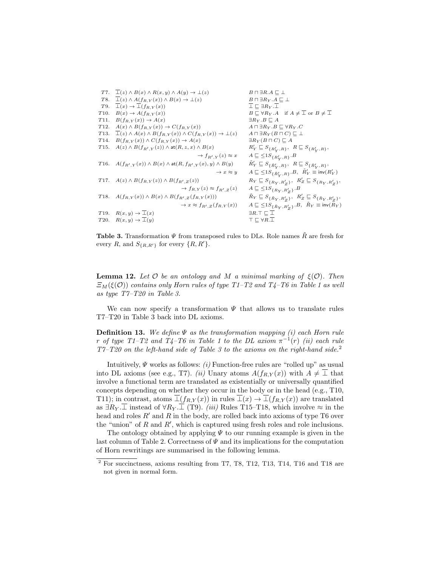|                   | T7. $\perp(z) \wedge B(x) \wedge R(x, y) \wedge A(y) \rightarrow \perp(z)$                       | $B \sqcap \exists R.A \sqsubset \bot$                                                              |
|-------------------|--------------------------------------------------------------------------------------------------|----------------------------------------------------------------------------------------------------|
| T8.               | $\overline{\perp}(z) \wedge A(f_{R,Y}(x)) \wedge B(x) \rightarrow \perp(z)$                      | $B \sqcap \exists R_Y.A \sqsubseteq \bot$                                                          |
| T9.               | $\overline{\perp}(x) \rightarrow \overline{\perp}(f_{R,Y}(x))$                                   | $\overline{\perp} \sqsubset \exists R_Y \ldotp \overline{\perp}$                                   |
| T10.              | $B(x) \rightarrow A(f_{R,Y}(x))$                                                                 | $B \sqsubset \forall R_Y.A$ if $A \neq \overline{\bot}$ or $B \neq \overline{\bot}$                |
| T <sub>11</sub> . | $B(f_{R,Y}(x)) \to A(x)$                                                                         | $\exists R_Y.B \sqsubset A$                                                                        |
| T <sub>12</sub> . | $A(x) \wedge B(f_{R,Y}(x)) \rightarrow C(f_{R,Y}(x))$                                            | $A \sqcap \exists R_Y . B \sqsubseteq \forall R_Y . C$                                             |
| T <sub>13</sub> . | $\overline{\perp}(z) \wedge A(x) \wedge B(f_{R,Y}(x)) \wedge C(f_{R,Y}(x)) \rightarrow \perp(z)$ | $A \sqcap \exists R_Y (B \sqcap C) \sqsubseteq \bot$                                               |
| T <sub>14</sub> . | $B(f_{R,Y}(x)) \wedge C(f_{R,Y}(x)) \rightarrow A(x)$                                            | $\exists R_Y(B\sqcap C)\sqsubseteq A$                                                              |
| T15.              | $A(z) \wedge B(f_{R',Y}(z)) \wedge \text{at}(R,z,x) \wedge B(x)$                                 | $R'_Y \sqsubseteq S_{\{R'_Y,R\}},\;\; R \sqsubseteq S_{\{R'_Y,R\}},$                               |
|                   | $\rightarrow$ $f_{R'Y}(z) \approx x$                                                             | $A \sqsubseteq \leq 1S_{\{R'_{Y},R\}}.B$                                                           |
| T16.              | $A(f_{R',Y}(x)) \wedge B(x) \wedge \mathsf{at}(R, f_{R',Y}(x), y) \wedge B(y)$                   | $\tilde{R}'_Y \sqsubseteq S_{\{\tilde{R}'_Y,R\}},\ \ R \sqsubseteq S_{\{\tilde{R}'_Y,R\}},\$       |
|                   | $\rightarrow$ x $\approx$ y                                                                      | $A \sqsubseteq \leq 1S_{\{\tilde{R}'_Y,R\}}.B, \ \tilde{R}'_Y \equiv \text{inv}(R'_Y)$             |
|                   | T17. $A(z) \wedge B(f_{R,Y}(z)) \wedge B(f_{R',Z}(z))$                                           | $R_Y \subseteq S_{\{R_Y, R'_Z\}}, R'_Z \sqsubseteq S_{\{R_Y, R'_Z\}},$                             |
|                   | $\rightarrow$ $f_{R,Y}(z) \approx f_{R',Z}(z)$                                                   | $A \sqsubseteq \leq 1S_{\{R_Y, R'_Z\}}.B$                                                          |
| T <sub>18</sub> . | $A(f_{R,Y}(x)) \wedge B(x) \wedge B(f_{R',Z}(f_{R,Y}(x)))$                                       | $\tilde{R}_Y \sqsubseteq S_{\{\tilde{R}_Y, R'_Z\}}, \ R'_Z \sqsubseteq S_{\{\tilde{R}_Y, R'_Z\}},$ |
|                   | $\rightarrow x \approx f_{R',Z}(f_{R,Y}(x))$                                                     | $A \subseteq \leq 1S_{\{\tilde{R}_Y, R'_Z\}}.B, \ \tilde{R}_Y \equiv \text{inv}(R_Y)$              |
| T <sub>19</sub> . | $R(x, y) \rightarrow \perp(x)$                                                                   | $\exists R.\top \sqsubset \bot$                                                                    |
|                   | T20. $R(x,y) \rightarrow \overline{\perp}(y)$                                                    | $\top \sqsubset \forall R.\overline{\bot}$                                                         |
|                   |                                                                                                  |                                                                                                    |

Table 3. Transformation  $\Psi$  from transposed rules to DLs. Role names  $\tilde{R}$  are fresh for every R, and  $S_{\{R,R'\}}$  for every  $\{R,R'\}.$ 

**Lemma 12.** Let  $O$  be an ontology and M a minimal marking of  $\xi(O)$ . Then  $\Xi_M(\xi(\mathcal{O}))$  contains only Horn rules of type T1–T2 and T4–T6 in Table 1 as well as type T7–T20 in Table 3.

We can now specify a transformation  $\Psi$  that allows us to translate rules T7–T20 in Table 3 back into DL axioms.

**Definition 13.** We define  $\Psi$  as the transformation mapping (i) each Horn rule r of type T1-T2 and T4-T6 in Table 1 to the DL axiom  $\pi^{-1}(r)$  (ii) each rule  $T7-T20$  on the left-hand side of Table 3 to the axioms on the right-hand side.<sup>2</sup>

Intuitively,  $\Psi$  works as follows: *(i)* Function-free rules are "rolled up" as usual into DL axioms (see e.g., T7). (ii) Unary atoms  $A(f_{R,Y}(x))$  with  $A \neq \perp$  that involve a functional term are translated as existentially or universally quantified concepts depending on whether they occur in the body or in the head (e.g., T10, T11); in contrast, atoms  $\overline{\perp}(f_{R,Y}(x))$  in rules  $\overline{\perp}(x) \to \overline{\perp}(f_{R,Y}(x))$  are translated as  $\exists R_Y \cdot \overline{\bot}$  instead of  $\forall R_Y \cdot \overline{\bot}$  (T9). *(iii)* Rules T15–T18, which involve  $\approx$  in the head and roles  $R'$  and R in the body, are rolled back into axioms of type T6 over the "union" of  $R$  and  $R'$ , which is captured using fresh roles and role inclusions.

The ontology obtained by applying  $\Psi$  to our running example is given in the last column of Table 2. Correctness of  $\Psi$  and its implications for the computation of Horn rewritings are summarised in the following lemma.

 $^{2}$  For succinctness, axioms resulting from T7, T8, T12, T13, T14, T16 and T18 are not given in normal form.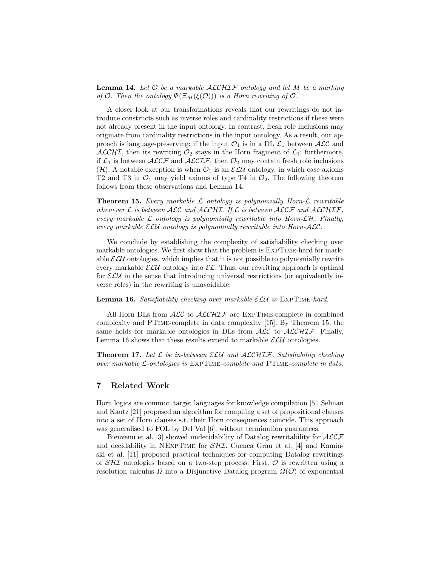**Lemma 14.** Let  $\mathcal O$  be a markable  $\mathcal{ALCHIF}$  ontology and let M be a marking of  $\mathcal O$ . Then the ontology  $\Psi(\Xi_M(\xi(\mathcal O)))$  is a Horn rewriting of  $\mathcal O$ .

A closer look at our transformations reveals that our rewritings do not introduce constructs such as inverse roles and cardinality restrictions if these were not already present in the input ontology. In contrast, fresh role inclusions may originate from cardinality restrictions in the input ontology. As a result, our approach is language-preserving: if the input  $\mathcal{O}_1$  is in a DL  $\mathcal{L}_1$  between  $\mathcal{ALC}$  and ALCHI, then its rewriting  $\mathcal{O}_2$  stays in the Horn fragment of  $\mathcal{L}_1$ ; furthermore, if  $\mathcal{L}_1$  is between  $\mathcal{ALCF}$  and  $\mathcal{ALCIF}$ , then  $\mathcal{O}_2$  may contain fresh role inclusions  $(\mathcal{H})$ . A notable exception is when  $\mathcal{O}_1$  is an  $\mathcal{ELU}$  ontology, in which case axioms T2 and T3 in  $\mathcal{O}_1$  may yield axioms of type T4 in  $\mathcal{O}_2$ . The following theorem follows from these observations and Lemma 14.

**Theorem 15.** Every markable  $\mathcal{L}$  ontology is polynomially Horn- $\mathcal{L}$  rewritable whenever  $\mathcal L$  is between  $\mathcal A\mathcal L\mathcal C$  and  $\mathcal A\mathcal L\mathcal C\mathcal H\mathcal I\mathcal F$ , If  $\mathcal L$  is between  $\mathcal A\mathcal L\mathcal C\mathcal F$  and  $\mathcal A\mathcal L\mathcal C\mathcal H\mathcal I\mathcal F$ , every markable  $\mathcal L$  ontology is polynomially rewritable into Horn- $\mathcal L\mathcal H$ . Finally, every markable  $\mathcal{ELU}$  ontology is polynomially rewritable into Horn-ALC.

We conclude by establishing the complexity of satisfiability checking over markable ontologies. We first show that the problem is ExpTime-hard for markable  $\mathcal{ELU}$  ontologies, which implies that it is not possible to polynomially rewrite every markable  $\mathcal{ELU}$  ontology into  $\mathcal{EL}$ . Thus, our rewriting approach is optimal for  $\mathcal{E}\mathcal{L}\mathcal{U}$  in the sense that introducing universal restrictions (or equivalently inverse roles) in the rewriting is unavoidable.

#### **Lemma 16.** Satisfiability checking over markable  $\mathcal{ELU}$  is EXPTIME-hard.

All Horn DLs from  $\text{ALC}$  to  $\text{ALCHIF}$  are EXPTIME-complete in combined complexity and PTime-complete in data complexity [15]. By Theorem 15, the same holds for markable ontologies in DLs from  $\text{ALC}$  to  $\text{ALCHIF}$ . Finally, Lemma 16 shows that these results extend to markable  $\mathcal{ELU}$  ontologies.

**Theorem 17.** Let  $\mathcal{L}$  be in-between  $\mathcal{ELU}$  and  $\mathcal{ALCHIF}$ . Satisfiability checking over markable  $\mathcal{L}\text{-}ontoologies$  is  $\text{EXPTIME-complete}$  and  $\text{PTIME-complete}$  in data.

#### 7 Related Work

Horn logics are common target languages for knowledge compilation [5]. Selman and Kautz [21] proposed an algorithm for compiling a set of propositional clauses into a set of Horn clauses s.t. their Horn consequences coincide. This approach was generalised to FOL by Del Val [6], without termination guarantees.

Bienvenu et al. [3] showed undecidability of Datalog rewritability for  $\mathcal{ALCF}$ and decidability in NEXPTIME for  $\mathcal{SHL}$ . Cuenca Grau et al. [4] and Kaminski et al. [11] proposed practical techniques for computing Datalog rewritings of  $SHI$  ontologies based on a two-step process. First,  $\mathcal O$  is rewritten using a resolution calculus  $\Omega$  into a Disjunctive Datalog program  $\Omega(\mathcal{O})$  of exponential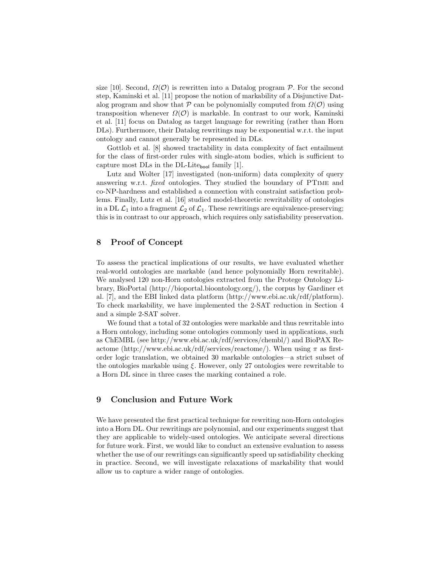size [10]. Second,  $\Omega(\mathcal{O})$  is rewritten into a Datalog program P. For the second step, Kaminski et al. [11] propose the notion of markability of a Disjunctive Datalog program and show that P can be polynomially computed from  $\Omega(\mathcal{O})$  using transposition whenever  $\Omega(\mathcal{O})$  is markable. In contrast to our work, Kaminski et al. [11] focus on Datalog as target language for rewriting (rather than Horn DLs). Furthermore, their Datalog rewritings may be exponential w.r.t. the input ontology and cannot generally be represented in DLs.

Gottlob et al. [8] showed tractability in data complexity of fact entailment for the class of first-order rules with single-atom bodies, which is sufficient to capture most DLs in the DL-Litebool family [1].

Lutz and Wolter [17] investigated (non-uniform) data complexity of query answering w.r.t. fixed ontologies. They studied the boundary of PTime and co-NP-hardness and established a connection with constraint satisfaction problems. Finally, Lutz et al. [16] studied model-theoretic rewritability of ontologies in a DL  $\mathcal{L}_1$  into a fragment  $\mathcal{L}_2$  of  $\mathcal{L}_1$ . These rewritings are equivalence-preserving; this is in contrast to our approach, which requires only satisfiability preservation.

## 8 Proof of Concept

To assess the practical implications of our results, we have evaluated whether real-world ontologies are markable (and hence polynomially Horn rewritable). We analysed 120 non-Horn ontologies extracted from the Protege Ontology Library, BioPortal (http://bioportal.bioontology.org/), the corpus by Gardiner et al. [7], and the EBI linked data platform (http://www.ebi.ac.uk/rdf/platform). To check markability, we have implemented the 2-SAT reduction in Section 4 and a simple 2-SAT solver.

We found that a total of 32 ontologies were markable and thus rewritable into a Horn ontology, including some ontologies commonly used in applications, such as ChEMBL (see http://www.ebi.ac.uk/rdf/services/chembl/) and BioPAX Reactome (http://www.ebi.ac.uk/rdf/services/reactome/). When using  $\pi$  as firstorder logic translation, we obtained 30 markable ontologies—a strict subset of the ontologies markable using  $\xi$ . However, only 27 ontologies were rewritable to a Horn DL since in three cases the marking contained a role.

# 9 Conclusion and Future Work

We have presented the first practical technique for rewriting non-Horn ontologies into a Horn DL. Our rewritings are polynomial, and our experiments suggest that they are applicable to widely-used ontologies. We anticipate several directions for future work. First, we would like to conduct an extensive evaluation to assess whether the use of our rewritings can significantly speed up satisfiability checking in practice. Second, we will investigate relaxations of markability that would allow us to capture a wider range of ontologies.